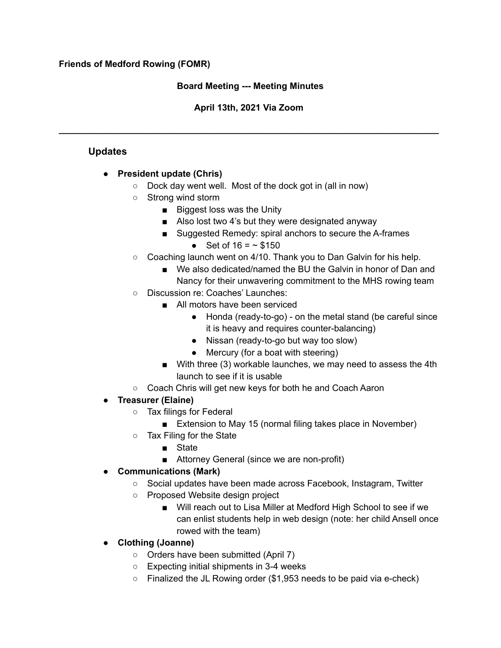#### **Friends of Medford Rowing (FOMR)**

## **Board Meeting --- Meeting Minutes**

## **April 13th, 2021 Via Zoom**

**\_\_\_\_\_\_\_\_\_\_\_\_\_\_\_\_\_\_\_\_\_\_\_\_\_\_\_\_\_\_\_\_\_\_\_\_\_\_\_\_\_\_\_\_\_\_\_\_\_\_\_\_\_\_\_\_\_\_\_\_\_\_\_\_\_\_\_\_\_\_\_\_\_\_\_\_**

## **Updates**

## **● President update (Chris)**

- Dock day went well. Most of the dock got in (all in now)
- Strong wind storm
	- Biggest loss was the Unity
	- Also lost two 4's but they were designated anyway
	- Suggested Remedy: spiral anchors to secure the A-frames
		- Set of  $16 = -$  \$150
- Coaching launch went on 4/10. Thank you to Dan Galvin for his help.
	- We also dedicated/named the BU the Galvin in honor of Dan and Nancy for their unwavering commitment to the MHS rowing team
- Discussion re: Coaches' Launches:
	- All motors have been serviced
		- Honda (ready-to-go) on the metal stand (be careful since it is heavy and requires counter-balancing)
		- Nissan (ready-to-go but way too slow)
		- Mercury (for a boat with steering)
	- With three (3) workable launches, we may need to assess the 4th launch to see if it is usable
- Coach Chris will get new keys for both he and Coach Aaron

# **● Treasurer (Elaine)**

- Tax filings for Federal
	- Extension to May 15 (normal filing takes place in November)
- Tax Filing for the State
	- State
	- Attorney General (since we are non-profit)
- **● Communications (Mark)**
	- Social updates have been made across Facebook, Instagram, Twitter
	- Proposed Website design project
		- Will reach out to Lisa Miller at Medford High School to see if we can enlist students help in web design (note: her child Ansell once rowed with the team)
- **● Clothing (Joanne)**
	- Orders have been submitted (April 7)
	- $\circ$  Expecting initial shipments in 3-4 weeks
	- $\circ$  Finalized the JL Rowing order (\$1,953 needs to be paid via e-check)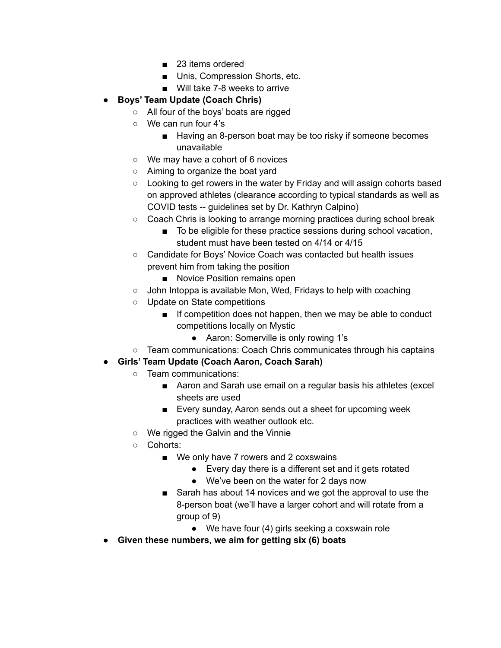- 23 items ordered
- Unis, Compression Shorts, etc.
- Will take 7-8 weeks to arrive
- **● Boys' Team Update (Coach Chris)**
	- All four of the boys' boats are rigged
	- We can run four 4's
		- Having an 8-person boat may be too risky if someone becomes unavailable
	- We may have a cohort of 6 novices
	- Aiming to organize the boat yard
	- $\circ$  Looking to get rowers in the water by Friday and will assign cohorts based on approved athletes (clearance according to typical standards as well as COVID tests -- guidelines set by Dr. Kathryn Calpino)
	- Coach Chris is looking to arrange morning practices during school break
		- To be eligible for these practice sessions during school vacation, student must have been tested on 4/14 or 4/15
	- Candidate for Boys' Novice Coach was contacted but health issues prevent him from taking the position
		- Novice Position remains open
	- John Intoppa is available Mon, Wed, Fridays to help with coaching
	- Update on State competitions
		- If competition does not happen, then we may be able to conduct competitions locally on Mystic
			- Aaron: Somerville is only rowing 1's
- Team communications: Coach Chris communicates through his captains
- **● Girls' Team Update (Coach Aaron, Coach Sarah)**
	- Team communications:
		- Aaron and Sarah use email on a regular basis his athletes (excel sheets are used
		- Every sunday, Aaron sends out a sheet for upcoming week practices with weather outlook etc.
	- We rigged the Galvin and the Vinnie
	- Cohorts:
		- We only have 7 rowers and 2 coxswains
			- Every day there is a different set and it gets rotated
			- We've been on the water for 2 days now
		- Sarah has about 14 novices and we got the approval to use the 8-person boat (we'll have a larger cohort and will rotate from a group of 9)
			- We have four (4) girls seeking a coxswain role
- **● Given these numbers, we aim for getting six (6) boats**